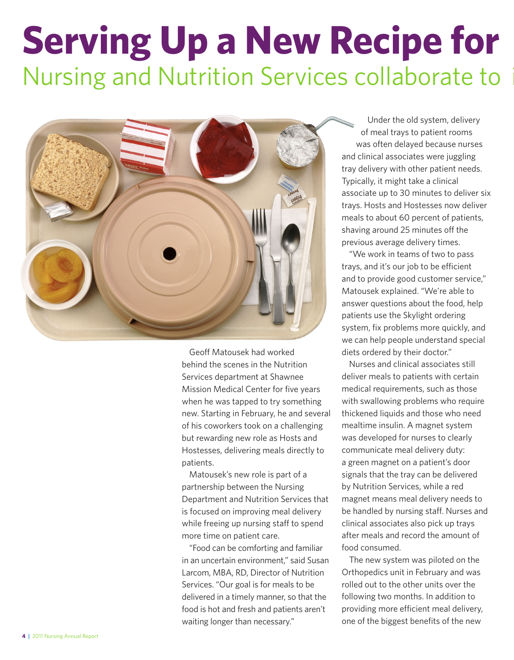## **Serving Up a New Recipe for** Nursing and Nutrition Services collaborate to



Geoff Matousek had worked behind the scenes in the Nutrition Services department at Shawnee Mission Medical Center for five years when he was tapped to try something new. Starting in February, he and several of his coworkers took on a challenging but rewarding new role as Hosts and Hostesses, delivering meals directly to patients.

Matousek's new role is part of a partnership between the Nursing Department and Nutrition Services that is focused on improving meal delivery while freeing up nursing staff to spend more time on patient care.

"Food can be comforting and familiar in an uncertain environment," said Susan Larcom, MBA, RD, Director of Nutrition Services. "Our goal is for meals to be delivered in a timely manner, so that the food is hot and fresh and patients aren't waiting longer than necessary."

Under the old system, delivery of meal trays to patient rooms was often delayed because nurses and clinical associates were juggling tray delivery with other patient needs. Typically, it might take a clinical associate up to 30 minutes to deliver six trays. Hosts and Hostesses now deliver meals to about 60 percent of patients, shaving around 25 minutes off the previous average delivery times.

"We work in teams of two to pass trays, and it's our job to be efficient and to provide good customer service," Matousek explained. "We're able to answer questions about the food, help patients use the Skylight ordering system, fix problems more quickly, and we can help people understand special diets ordered by their doctor."

Nurses and clinical associates still deliver meals to patients with certain medical requirements, such as those with swallowing problems who require thickened liquids and those who need mealtime insulin. A magnet system was developed for nurses to clearly communicate meal delivery duty: a green magnet on a patient's door signals that the tray can be delivered by Nutrition Services, while a red magnet means meal delivery needs to be handled by nursing staff. Nurses and clinical associates also pick up trays after meals and record the amount of food consumed.

The new system was piloted on the Orthopedics unit in February and was rolled out to the other units over the following two months. In addition to providing more efficient meal delivery, one of the biggest benefits of the new